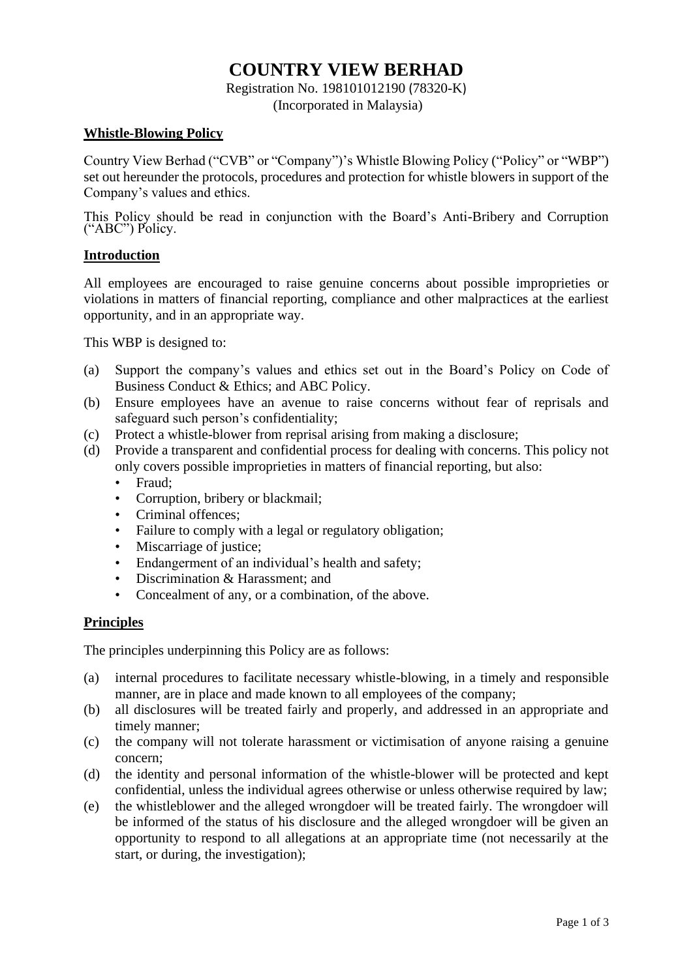# **COUNTRY VIEW BERHAD**

Registration No. 198101012190 (78320-K) (Incorporated in Malaysia)

#### **Whistle-Blowing Policy**

Country View Berhad ("CVB" or "Company")'s Whistle Blowing Policy ("Policy" or "WBP") set out hereunder the protocols, procedures and protection for whistle blowers in support of the Company's values and ethics.

This Policy should be read in conjunction with the Board's Anti-Bribery and Corruption ("ABC") Policy.

## **Introduction**

All employees are encouraged to raise genuine concerns about possible improprieties or violations in matters of financial reporting, compliance and other malpractices at the earliest opportunity, and in an appropriate way.

This WBP is designed to:

- (a) Support the company's values and ethics set out in the Board's Policy on Code of Business Conduct & Ethics; and ABC Policy.
- (b) Ensure employees have an avenue to raise concerns without fear of reprisals and safeguard such person's confidentiality;
- (c) Protect a whistle-blower from reprisal arising from making a disclosure;
- (d) Provide a transparent and confidential process for dealing with concerns. This policy not only covers possible improprieties in matters of financial reporting, but also:
	- Fraud;
	- Corruption, bribery or blackmail;
	- Criminal offences;
	- Failure to comply with a legal or regulatory obligation;
	- Miscarriage of justice;
	- Endangerment of an individual's health and safety;
	- Discrimination & Harassment; and
	- Concealment of any, or a combination, of the above.

# **Principles**

The principles underpinning this Policy are as follows:

- (a) internal procedures to facilitate necessary whistle-blowing, in a timely and responsible manner, are in place and made known to all employees of the company;
- (b) all disclosures will be treated fairly and properly, and addressed in an appropriate and timely manner;
- (c) the company will not tolerate harassment or victimisation of anyone raising a genuine concern;
- (d) the identity and personal information of the whistle-blower will be protected and kept confidential, unless the individual agrees otherwise or unless otherwise required by law;
- (e) the whistleblower and the alleged wrongdoer will be treated fairly. The wrongdoer will be informed of the status of his disclosure and the alleged wrongdoer will be given an opportunity to respond to all allegations at an appropriate time (not necessarily at the start, or during, the investigation);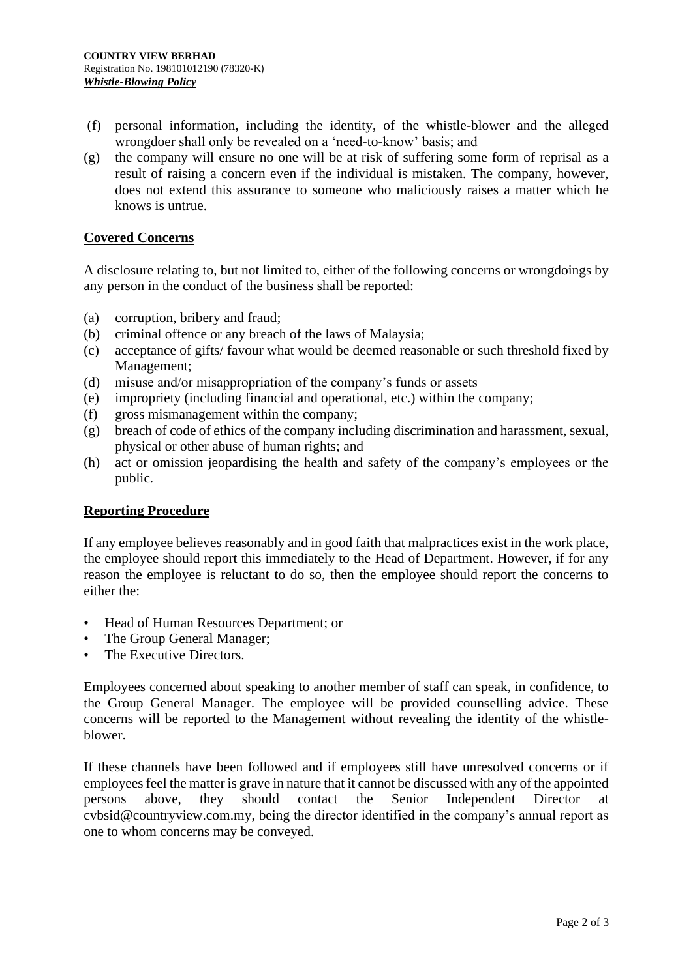- (f) personal information, including the identity, of the whistle-blower and the alleged wrongdoer shall only be revealed on a 'need-to-know' basis; and
- (g) the company will ensure no one will be at risk of suffering some form of reprisal as a result of raising a concern even if the individual is mistaken. The company, however, does not extend this assurance to someone who maliciously raises a matter which he knows is untrue.

#### **Covered Concerns**

A disclosure relating to, but not limited to, either of the following concerns or wrongdoings by any person in the conduct of the business shall be reported:

- (a) corruption, bribery and fraud;
- (b) criminal offence or any breach of the laws of Malaysia;
- (c) acceptance of gifts/ favour what would be deemed reasonable or such threshold fixed by Management;
- (d) misuse and/or misappropriation of the company's funds or assets
- (e) impropriety (including financial and operational, etc.) within the company;
- (f) gross mismanagement within the company;
- (g) breach of code of ethics of the company including discrimination and harassment, sexual, physical or other abuse of human rights; and
- (h) act or omission jeopardising the health and safety of the company's employees or the public.

#### **Reporting Procedure**

If any employee believes reasonably and in good faith that malpractices exist in the work place, the employee should report this immediately to the Head of Department. However, if for any reason the employee is reluctant to do so, then the employee should report the concerns to either the:

- Head of Human Resources Department; or
- The Group General Manager;
- The Executive Directors.

Employees concerned about speaking to another member of staff can speak, in confidence, to the Group General Manager. The employee will be provided counselling advice. These concerns will be reported to the Management without revealing the identity of the whistleblower.

If these channels have been followed and if employees still have unresolved concerns or if employees feel the matter is grave in nature that it cannot be discussed with any of the appointed persons above, they should contact the Senior Independent Director at cvbsid@countryview.com.my, being the director identified in the company's annual report as one to whom concerns may be conveyed.